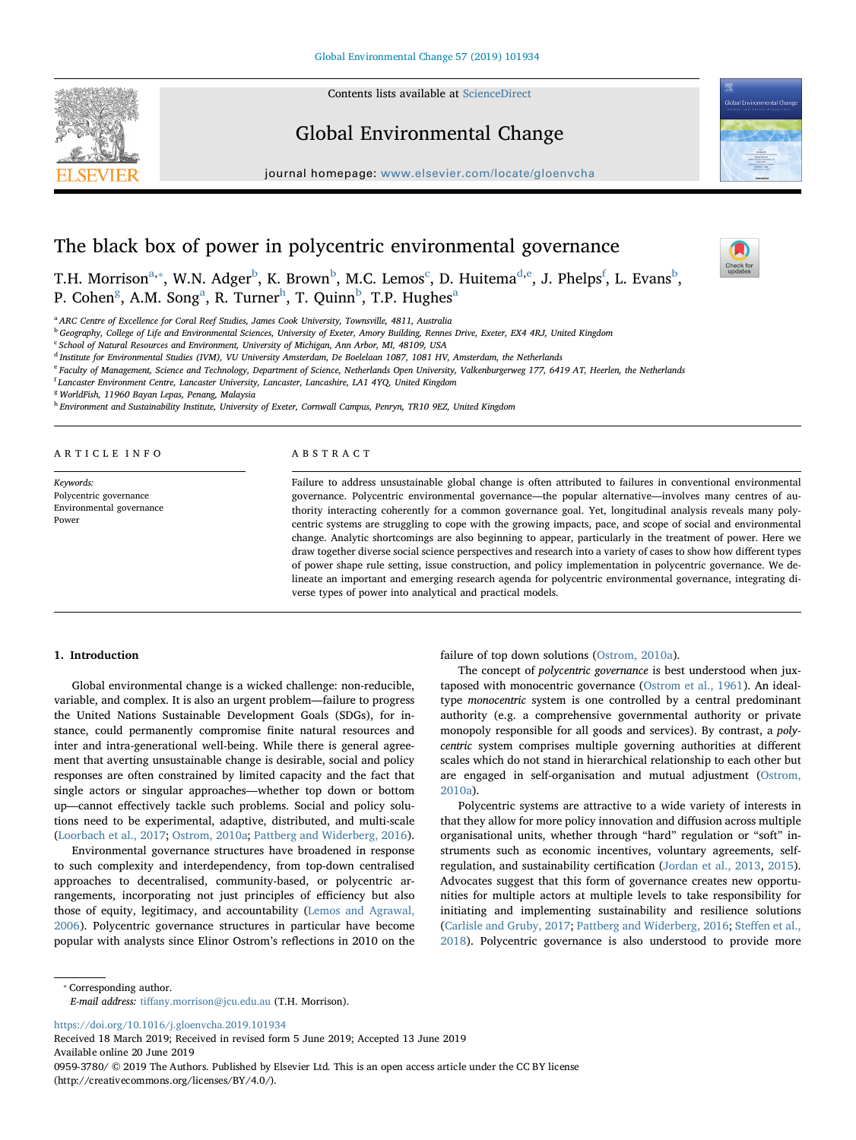

Contents lists available at [ScienceDirect](http://www.sciencedirect.com/science/journal/09593780)

## Global Environmental Change

 $j$ ournal homepage: [www.elsevier.com/locate/gloenvcha](https://www.elsevier.com/locate/gloenvcha)al/



Check for<br>updates

# The black box of power in polycentric environmental governance

T.H. Morrison $^{a,*}$  $^{a,*}$  $^{a,*}$ , W.N. A[d](#page-0-4)ger $^{\text{b}}$  $^{\text{b}}$  $^{\text{b}}$ , K. Brown $^{\text{b}}$ , M.C. Lemos $^{\text{c}}$  $^{\text{c}}$  $^{\text{c}}$ , D. Huitema $^{\text{d,e}}$  $^{\text{d,e}}$  $^{\text{d,e}}$ , J. Phelps $^{\text{f}}$  $^{\text{f}}$  $^{\text{f}}$ , L. Evans $^{\text{b}}$ , P. Cohen<sup>[g](#page-0-7)</sup>, A.M. Song<sup>[a](#page-0-0)</sup>, R. Turner<sup>[h](#page-0-8)</sup>, T. Quinn<sup>[b](#page-0-2)</sup>, T.P. Hughes<sup>a</sup>

<span id="page-0-0"></span><sup>a</sup> ARC Centre of Excellence for Coral Reef Studies, James Cook University, Townsville, 4811, Australia

<span id="page-0-2"></span><sup>b</sup> Geography, College of Life and Environmental Sciences, University of Exeter, Amory Building, Rennes Drive, Exeter, EX4 4RJ, United Kingdom

<span id="page-0-3"></span><sup>c</sup> School of Natural Resources and Environment, University of Michigan, Ann Arbor, MI, 48109, USA

<span id="page-0-4"></span><sup>d</sup> Institute for Environmental Studies (IVM), VU University Amsterdam, De Boelelaan 1087, 1081 HV, Amsterdam, the Netherlands

<span id="page-0-5"></span><sup>e</sup> Faculty of Management, Science and Technology, Department of Science, Netherlands Open University, Valkenburgerweg 177, 6419 AT, Heerlen, the Netherlands

<span id="page-0-6"></span><sup>f</sup> Lancaster Environment Centre, Lancaster University, Lancaster, Lancashire, LA1 4YQ, United Kingdom

<span id="page-0-7"></span><sup>8</sup> WorldFish, 11960 Bayan Lepas, Penang, Malaysia

<span id="page-0-8"></span>h Environment and Sustainability Institute, University of Exeter, Cornwall Campus, Penryn, TR10 9EZ, United Kingdom

#### ARTICLE INFO

Keywords: Polycentric governance Environmental governance Power

#### ABSTRACT

Failure to address unsustainable global change is often attributed to failures in conventional environmental governance. Polycentric environmental governance—the popular alternative—involves many centres of authority interacting coherently for a common governance goal. Yet, longitudinal analysis reveals many polycentric systems are struggling to cope with the growing impacts, pace, and scope of social and environmental change. Analytic shortcomings are also beginning to appear, particularly in the treatment of power. Here we draw together diverse social science perspectives and research into a variety of cases to show how different types of power shape rule setting, issue construction, and policy implementation in polycentric governance. We delineate an important and emerging research agenda for polycentric environmental governance, integrating diverse types of power into analytical and practical models.

## 1. Introduction

Global environmental change is a wicked challenge: non-reducible, variable, and complex. It is also an urgent problem—failure to progress the United Nations Sustainable Development Goals (SDGs), for instance, could permanently compromise finite natural resources and inter and intra-generational well-being. While there is general agreement that averting unsustainable change is desirable, social and policy responses are often constrained by limited capacity and the fact that single actors or singular approaches—whether top down or bottom up—cannot effectively tackle such problems. Social and policy solutions need to be experimental, adaptive, distributed, and multi-scale ([Loorbach et al., 2017](#page-6-0); [Ostrom, 2010a](#page-7-0); [Pattberg and Widerberg, 2016](#page-7-1)).

Environmental governance structures have broadened in response to such complexity and interdependency, from top-down centralised approaches to decentralised, community-based, or polycentric arrangements, incorporating not just principles of efficiency but also those of equity, legitimacy, and accountability [\(Lemos and Agrawal,](#page-6-1) [2006\)](#page-6-1). Polycentric governance structures in particular have become popular with analysts since Elinor Ostrom's reflections in 2010 on the failure of top down solutions [\(Ostrom, 2010a](#page-7-0)).

The concept of polycentric governance is best understood when juxtaposed with monocentric governance ([Ostrom et al., 1961](#page-7-2)). An idealtype monocentric system is one controlled by a central predominant authority (e.g. a comprehensive governmental authority or private monopoly responsible for all goods and services). By contrast, a polycentric system comprises multiple governing authorities at different scales which do not stand in hierarchical relationship to each other but are engaged in self-organisation and mutual adjustment ([Ostrom,](#page-7-0) [2010a\)](#page-7-0).

Polycentric systems are attractive to a wide variety of interests in that they allow for more policy innovation and diffusion across multiple organisational units, whether through "hard" regulation or "soft" instruments such as economic incentives, voluntary agreements, selfregulation, and sustainability certification ([Jordan et al., 2013,](#page-6-2) [2015](#page-6-3)). Advocates suggest that this form of governance creates new opportunities for multiple actors at multiple levels to take responsibility for initiating and implementing sustainability and resilience solutions ([Carlisle and Gruby, 2017](#page-6-4); [Pattberg and Widerberg, 2016](#page-7-1); Steff[en et al.,](#page-7-3) [2018\)](#page-7-3). Polycentric governance is also understood to provide more

<span id="page-0-1"></span>⁎ Corresponding author.

E-mail address: tiff[any.morrison@jcu.edu.au](mailto:tiffany.morrison@jcu.edu.au) (T.H. Morrison).

<https://doi.org/10.1016/j.gloenvcha.2019.101934>

Received 18 March 2019; Received in revised form 5 June 2019; Accepted 13 June 2019 Available online 20 June 2019 0959-3780/  $\odot$  2019 The Authors. Published by Elsevier Ltd. This is an open access article under the CC BY license (http://creativecommons.org/licenses/BY/4.0/).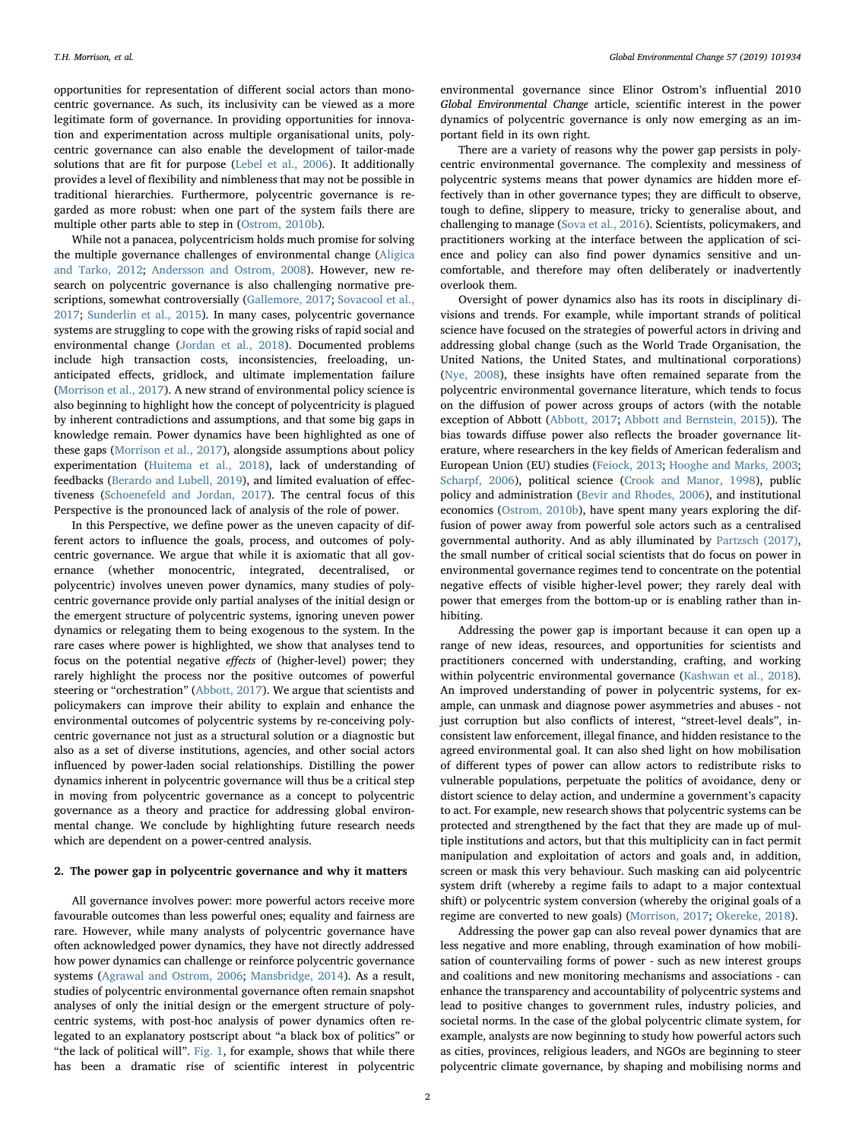opportunities for representation of different social actors than monocentric governance. As such, its inclusivity can be viewed as a more legitimate form of governance. In providing opportunities for innovation and experimentation across multiple organisational units, polycentric governance can also enable the development of tailor-made solutions that are fit for purpose ([Lebel et al., 2006\)](#page-6-5). It additionally provides a level of flexibility and nimbleness that may not be possible in traditional hierarchies. Furthermore, polycentric governance is regarded as more robust: when one part of the system fails there are multiple other parts able to step in ([Ostrom, 2010b](#page-7-4)).

While not a panacea, polycentricism holds much promise for solving the multiple governance challenges of environmental change [\(Aligica](#page-6-6) [and Tarko, 2012](#page-6-6); [Andersson and Ostrom, 2008](#page-6-7)). However, new research on polycentric governance is also challenging normative prescriptions, somewhat controversially ([Gallemore, 2017;](#page-6-8) [Sovacool et al.,](#page-7-5) [2017;](#page-7-5) [Sunderlin et al., 2015](#page-7-6)). In many cases, polycentric governance systems are struggling to cope with the growing risks of rapid social and environmental change [\(Jordan et al., 2018\)](#page-6-9). Documented problems include high transaction costs, inconsistencies, freeloading, unanticipated effects, gridlock, and ultimate implementation failure ([Morrison et al., 2017](#page-7-7)). A new strand of environmental policy science is also beginning to highlight how the concept of polycentricity is plagued by inherent contradictions and assumptions, and that some big gaps in knowledge remain. Power dynamics have been highlighted as one of these gaps ([Morrison et al., 2017\)](#page-7-7), alongside assumptions about policy experimentation [\(Huitema et al., 2018](#page-6-10)), lack of understanding of feedbacks ([Berardo and Lubell, 2019\)](#page-6-11), and limited evaluation of effectiveness ([Schoenefeld and Jordan, 2017](#page-7-8)). The central focus of this Perspective is the pronounced lack of analysis of the role of power.

In this Perspective, we define power as the uneven capacity of different actors to influence the goals, process, and outcomes of polycentric governance. We argue that while it is axiomatic that all governance (whether monocentric, integrated, decentralised, or polycentric) involves uneven power dynamics, many studies of polycentric governance provide only partial analyses of the initial design or the emergent structure of polycentric systems, ignoring uneven power dynamics or relegating them to being exogenous to the system. In the rare cases where power is highlighted, we show that analyses tend to focus on the potential negative effects of (higher-level) power; they rarely highlight the process nor the positive outcomes of powerful steering or "orchestration" [\(Abbott, 2017\)](#page-6-12). We argue that scientists and policymakers can improve their ability to explain and enhance the environmental outcomes of polycentric systems by re-conceiving polycentric governance not just as a structural solution or a diagnostic but also as a set of diverse institutions, agencies, and other social actors influenced by power-laden social relationships. Distilling the power dynamics inherent in polycentric governance will thus be a critical step in moving from polycentric governance as a concept to polycentric governance as a theory and practice for addressing global environmental change. We conclude by highlighting future research needs which are dependent on a power-centred analysis.

## 2. The power gap in polycentric governance and why it matters

All governance involves power: more powerful actors receive more favourable outcomes than less powerful ones; equality and fairness are rare. However, while many analysts of polycentric governance have often acknowledged power dynamics, they have not directly addressed how power dynamics can challenge or reinforce polycentric governance systems ([Agrawal and Ostrom, 2006](#page-6-13); [Mansbridge, 2014](#page-6-14)). As a result, studies of polycentric environmental governance often remain snapshot analyses of only the initial design or the emergent structure of polycentric systems, with post-hoc analysis of power dynamics often relegated to an explanatory postscript about "a black box of politics" or "the lack of political will". [Fig. 1](#page-2-0), for example, shows that while there has been a dramatic rise of scientific interest in polycentric

environmental governance since Elinor Ostrom's influential 2010 Global Environmental Change article, scientific interest in the power dynamics of polycentric governance is only now emerging as an important field in its own right.

There are a variety of reasons why the power gap persists in polycentric environmental governance. The complexity and messiness of polycentric systems means that power dynamics are hidden more effectively than in other governance types; they are difficult to observe, tough to define, slippery to measure, tricky to generalise about, and challenging to manage ([Sova et al., 2016](#page-7-9)). Scientists, policymakers, and practitioners working at the interface between the application of science and policy can also find power dynamics sensitive and uncomfortable, and therefore may often deliberately or inadvertently overlook them.

Oversight of power dynamics also has its roots in disciplinary divisions and trends. For example, while important strands of political science have focused on the strategies of powerful actors in driving and addressing global change (such as the World Trade Organisation, the United Nations, the United States, and multinational corporations) ([Nye, 2008\)](#page-7-10), these insights have often remained separate from the polycentric environmental governance literature, which tends to focus on the diffusion of power across groups of actors (with the notable exception of Abbott ([Abbott, 2017;](#page-6-12) [Abbott and Bernstein, 2015](#page-6-15))). The bias towards diffuse power also reflects the broader governance literature, where researchers in the key fields of American federalism and European Union (EU) studies [\(Feiock, 2013](#page-6-16); [Hooghe and Marks, 2003](#page-6-17); [Scharpf, 2006](#page-7-11)), political science ([Crook and Manor, 1998\)](#page-6-18), public policy and administration ([Bevir and Rhodes, 2006\)](#page-6-19), and institutional economics [\(Ostrom, 2010b\)](#page-7-4), have spent many years exploring the diffusion of power away from powerful sole actors such as a centralised governmental authority. And as ably illuminated by [Partzsch](#page-7-12) (2017), the small number of critical social scientists that do focus on power in environmental governance regimes tend to concentrate on the potential negative effects of visible higher-level power; they rarely deal with power that emerges from the bottom-up or is enabling rather than inhibiting.

Addressing the power gap is important because it can open up a range of new ideas, resources, and opportunities for scientists and practitioners concerned with understanding, crafting, and working within polycentric environmental governance [\(Kashwan et al., 2018](#page-6-20)). An improved understanding of power in polycentric systems, for example, can unmask and diagnose power asymmetries and abuses - not just corruption but also conflicts of interest, "street-level deals", inconsistent law enforcement, illegal finance, and hidden resistance to the agreed environmental goal. It can also shed light on how mobilisation of different types of power can allow actors to redistribute risks to vulnerable populations, perpetuate the politics of avoidance, deny or distort science to delay action, and undermine a government's capacity to act. For example, new research shows that polycentric systems can be protected and strengthened by the fact that they are made up of multiple institutions and actors, but that this multiplicity can in fact permit manipulation and exploitation of actors and goals and, in addition, screen or mask this very behaviour. Such masking can aid polycentric system drift (whereby a regime fails to adapt to a major contextual shift) or polycentric system conversion (whereby the original goals of a regime are converted to new goals) ([Morrison, 2017;](#page-7-13) [Okereke, 2018](#page-7-14)).

Addressing the power gap can also reveal power dynamics that are less negative and more enabling, through examination of how mobilisation of countervailing forms of power - such as new interest groups and coalitions and new monitoring mechanisms and associations - can enhance the transparency and accountability of polycentric systems and lead to positive changes to government rules, industry policies, and societal norms. In the case of the global polycentric climate system, for example, analysts are now beginning to study how powerful actors such as cities, provinces, religious leaders, and NGOs are beginning to steer polycentric climate governance, by shaping and mobilising norms and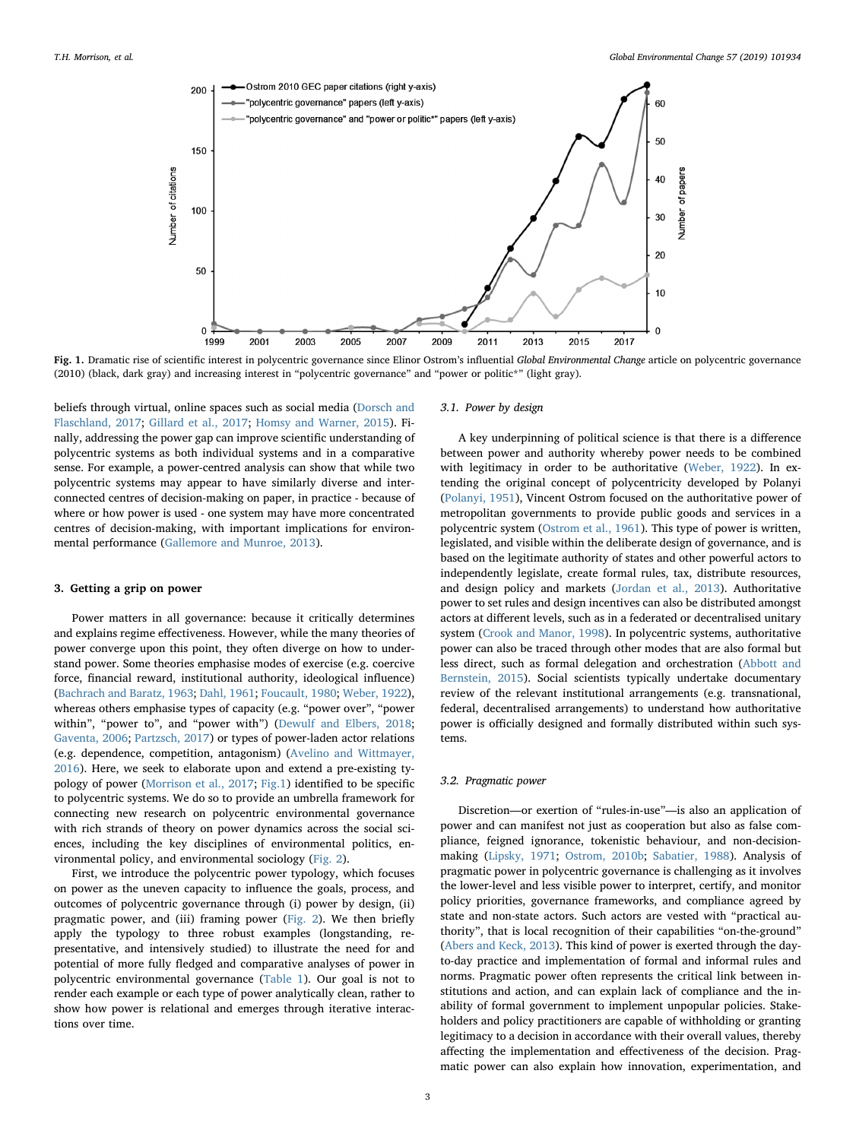<span id="page-2-0"></span>

Fig. 1. Dramatic rise of scientific interest in polycentric governance since Elinor Ostrom's influential Global Environmental Change article on polycentric governance (2010) (black, dark gray) and increasing interest in "polycentric governance" and "power or politic\*" (light gray).

beliefs through virtual, online spaces such as social media ([Dorsch and](#page-6-21) [Flaschland, 2017](#page-6-21); [Gillard et al., 2017;](#page-6-22) [Homsy and Warner, 2015](#page-6-23)). Finally, addressing the power gap can improve scientific understanding of polycentric systems as both individual systems and in a comparative sense. For example, a power-centred analysis can show that while two polycentric systems may appear to have similarly diverse and interconnected centres of decision-making on paper, in practice - because of where or how power is used - one system may have more concentrated centres of decision-making, with important implications for environmental performance ([Gallemore and Munroe, 2013\)](#page-6-24).

## 3. Getting a grip on power

Power matters in all governance: because it critically determines and explains regime effectiveness. However, while the many theories of power converge upon this point, they often diverge on how to understand power. Some theories emphasise modes of exercise (e.g. coercive force, financial reward, institutional authority, ideological influence) ([Bachrach and Baratz, 1963;](#page-6-25) [Dahl, 1961;](#page-6-26) [Foucault, 1980](#page-6-27); [Weber, 1922](#page-7-15)), whereas others emphasise types of capacity (e.g. "power over", "power within", "power to", and "power with") ([Dewulf and Elbers, 2018](#page-6-28); [Gaventa, 2006](#page-6-29); [Partzsch, 2017\)](#page-7-12) or types of power-laden actor relations (e.g. dependence, competition, antagonism) [\(Avelino and Wittmayer,](#page-6-30) [2016\)](#page-6-30). Here, we seek to elaborate upon and extend a pre-existing typology of power [\(Morrison et al., 2017;](#page-7-7) [Fig.1](#page-2-0)) identified to be specific to polycentric systems. We do so to provide an umbrella framework for connecting new research on polycentric environmental governance with rich strands of theory on power dynamics across the social sciences, including the key disciplines of environmental politics, environmental policy, and environmental sociology [\(Fig. 2](#page-3-0)).

First, we introduce the polycentric power typology, which focuses on power as the uneven capacity to influence the goals, process, and outcomes of polycentric governance through (i) power by design, (ii) pragmatic power, and (iii) framing power ([Fig. 2\)](#page-3-0). We then briefly apply the typology to three robust examples (longstanding, representative, and intensively studied) to illustrate the need for and potential of more fully fledged and comparative analyses of power in polycentric environmental governance ([Table 1](#page-3-1)). Our goal is not to render each example or each type of power analytically clean, rather to show how power is relational and emerges through iterative interactions over time.

#### 3.1. Power by design

A key underpinning of political science is that there is a difference between power and authority whereby power needs to be combined with legitimacy in order to be authoritative [\(Weber, 1922](#page-7-15)). In extending the original concept of polycentricity developed by Polanyi ([Polanyi, 1951\)](#page-7-16), Vincent Ostrom focused on the authoritative power of metropolitan governments to provide public goods and services in a polycentric system ([Ostrom et al., 1961\)](#page-7-2). This type of power is written, legislated, and visible within the deliberate design of governance, and is based on the legitimate authority of states and other powerful actors to independently legislate, create formal rules, tax, distribute resources, and design policy and markets ([Jordan et al., 2013](#page-6-2)). Authoritative power to set rules and design incentives can also be distributed amongst actors at different levels, such as in a federated or decentralised unitary system [\(Crook and Manor, 1998\)](#page-6-18). In polycentric systems, authoritative power can also be traced through other modes that are also formal but less direct, such as formal delegation and orchestration ([Abbott and](#page-6-15) [Bernstein, 2015](#page-6-15)). Social scientists typically undertake documentary review of the relevant institutional arrangements (e.g. transnational, federal, decentralised arrangements) to understand how authoritative power is officially designed and formally distributed within such systems.

#### 3.2. Pragmatic power

Discretion—or exertion of "rules-in-use"—is also an application of power and can manifest not just as cooperation but also as false compliance, feigned ignorance, tokenistic behaviour, and non-decisionmaking ([Lipsky, 1971](#page-6-31); [Ostrom, 2010b](#page-7-4); [Sabatier, 1988\)](#page-7-17). Analysis of pragmatic power in polycentric governance is challenging as it involves the lower-level and less visible power to interpret, certify, and monitor policy priorities, governance frameworks, and compliance agreed by state and non-state actors. Such actors are vested with "practical authority", that is local recognition of their capabilities "on-the-ground" ([Abers and Keck, 2013](#page-6-32)). This kind of power is exerted through the dayto-day practice and implementation of formal and informal rules and norms. Pragmatic power often represents the critical link between institutions and action, and can explain lack of compliance and the inability of formal government to implement unpopular policies. Stakeholders and policy practitioners are capable of withholding or granting legitimacy to a decision in accordance with their overall values, thereby affecting the implementation and effectiveness of the decision. Pragmatic power can also explain how innovation, experimentation, and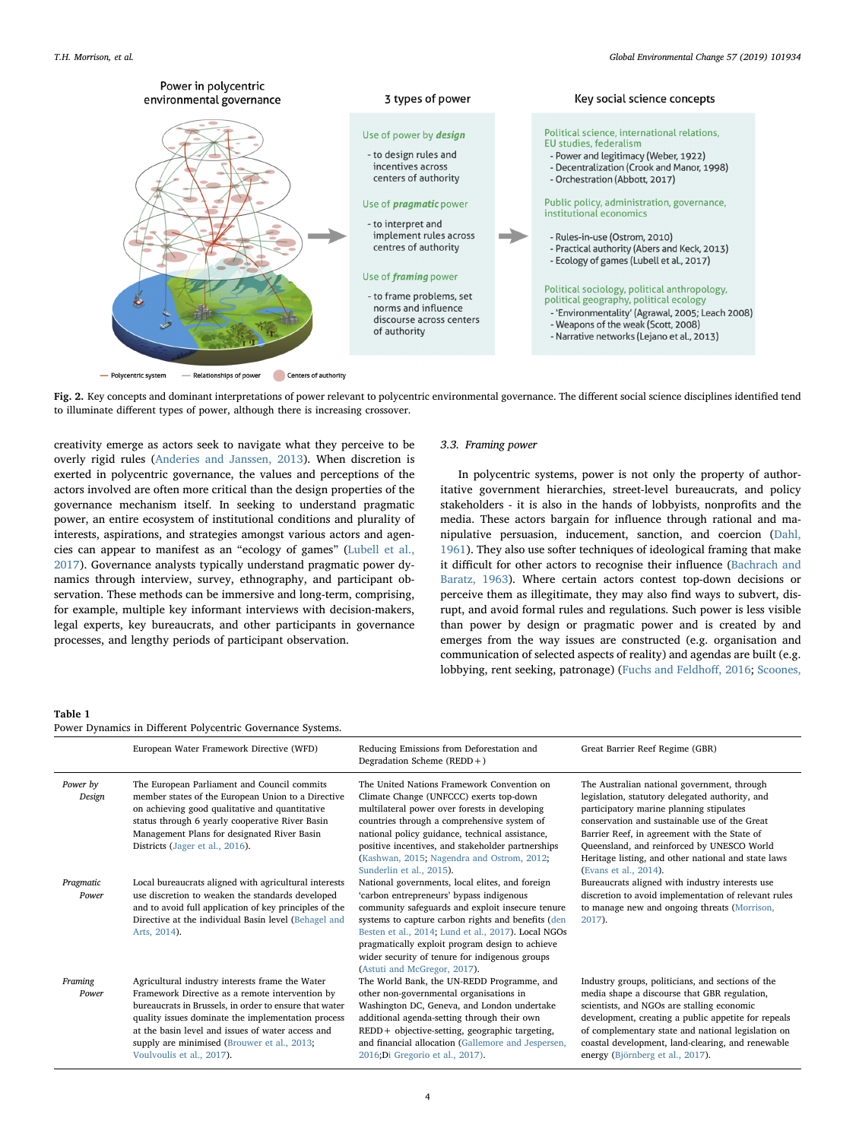<span id="page-3-0"></span>

Fig. 2. Key concepts and dominant interpretations of power relevant to polycentric environmental governance. The different social science disciplines identified tend to illuminate different types of power, although there is increasing crossover.

creativity emerge as actors seek to navigate what they perceive to be overly rigid rules [\(Anderies and Janssen, 2013](#page-6-33)). When discretion is exerted in polycentric governance, the values and perceptions of the actors involved are often more critical than the design properties of the governance mechanism itself. In seeking to understand pragmatic power, an entire ecosystem of institutional conditions and plurality of interests, aspirations, and strategies amongst various actors and agencies can appear to manifest as an "ecology of games" [\(Lubell et al.,](#page-6-34) [2017\)](#page-6-34). Governance analysts typically understand pragmatic power dynamics through interview, survey, ethnography, and participant observation. These methods can be immersive and long-term, comprising, for example, multiple key informant interviews with decision-makers, legal experts, key bureaucrats, and other participants in governance processes, and lengthy periods of participant observation.

## 3.3. Framing power

In polycentric systems, power is not only the property of authoritative government hierarchies, street-level bureaucrats, and policy stakeholders - it is also in the hands of lobbyists, nonprofits and the media. These actors bargain for influence through rational and manipulative persuasion, inducement, sanction, and coercion ([Dahl,](#page-6-26) [1961\)](#page-6-26). They also use softer techniques of ideological framing that make it difficult for other actors to recognise their influence ([Bachrach and](#page-6-25) [Baratz, 1963\)](#page-6-25). Where certain actors contest top-down decisions or perceive them as illegitimate, they may also find ways to subvert, disrupt, and avoid formal rules and regulations. Such power is less visible than power by design or pragmatic power and is created by and emerges from the way issues are constructed (e.g. organisation and communication of selected aspects of reality) and agendas are built (e.g. lobbying, rent seeking, patronage) [\(Fuchs and Feldho](#page-6-35)ff, 2016; [Scoones,](#page-7-18)

#### <span id="page-3-1"></span>Table 1

Power Dynamics in Different Polycentric Governance Systems.

|                    | European Water Framework Directive (WFD)                                                                                                                                                                                                                                                                                                            | Reducing Emissions from Deforestation and<br>Degradation Scheme (REDD+)                                                                                                                                                                                                                                                                                                                           | Great Barrier Reef Regime (GBR)                                                                                                                                                                                                                                                                                                                                           |
|--------------------|-----------------------------------------------------------------------------------------------------------------------------------------------------------------------------------------------------------------------------------------------------------------------------------------------------------------------------------------------------|---------------------------------------------------------------------------------------------------------------------------------------------------------------------------------------------------------------------------------------------------------------------------------------------------------------------------------------------------------------------------------------------------|---------------------------------------------------------------------------------------------------------------------------------------------------------------------------------------------------------------------------------------------------------------------------------------------------------------------------------------------------------------------------|
| Power by<br>Design | The European Parliament and Council commits<br>member states of the European Union to a Directive<br>on achieving good qualitative and quantitative<br>status through 6 yearly cooperative River Basin<br>Management Plans for designated River Basin<br>Districts (Jager et al., 2016).                                                            | The United Nations Framework Convention on<br>Climate Change (UNFCCC) exerts top-down<br>multilateral power over forests in developing<br>countries through a comprehensive system of<br>national policy guidance, technical assistance,<br>positive incentives, and stakeholder partnerships<br>(Kashwan, 2015; Nagendra and Ostrom, 2012;<br>Sunderlin et al., 2015).                           | The Australian national government, through<br>legislation, statutory delegated authority, and<br>participatory marine planning stipulates<br>conservation and sustainable use of the Great<br>Barrier Reef, in agreement with the State of<br>Queensland, and reinforced by UNESCO World<br>Heritage listing, and other national and state laws<br>(Evans et al., 2014). |
| Pragmatic<br>Power | Local bureaucrats aligned with agricultural interests<br>use discretion to weaken the standards developed<br>and to avoid full application of key principles of the<br>Directive at the individual Basin level (Behagel and<br>Arts, 2014).                                                                                                         | National governments, local elites, and foreign<br>'carbon entrepreneurs' bypass indigenous<br>community safeguards and exploit insecure tenure<br>systems to capture carbon rights and benefits (den<br>Besten et al., 2014; Lund et al., 2017). Local NGOs<br>pragmatically exploit program design to achieve<br>wider security of tenure for indigenous groups<br>(Astuti and McGregor, 2017). | Bureaucrats aligned with industry interests use<br>discretion to avoid implementation of relevant rules<br>to manage new and ongoing threats (Morrison,<br>2017).                                                                                                                                                                                                         |
| Framing<br>Power   | Agricultural industry interests frame the Water<br>Framework Directive as a remote intervention by<br>bureaucrats in Brussels, in order to ensure that water<br>quality issues dominate the implementation process<br>at the basin level and issues of water access and<br>supply are minimised (Brouwer et al., 2013;<br>Voulvoulis et al., 2017). | The World Bank, the UN-REDD Programme, and<br>other non-governmental organisations in<br>Washington DC, Geneva, and London undertake<br>additional agenda-setting through their own<br>REDD + objective-setting, geographic targeting,<br>and financial allocation (Gallemore and Jespersen,<br>2016; Di Gregorio et al., 2017).                                                                  | Industry groups, politicians, and sections of the<br>media shape a discourse that GBR regulation,<br>scientists, and NGOs are stalling economic<br>development, creating a public appetite for repeals<br>of complementary state and national legislation on<br>coastal development, land-clearing, and renewable<br>energy (Björnberg et al., 2017).                     |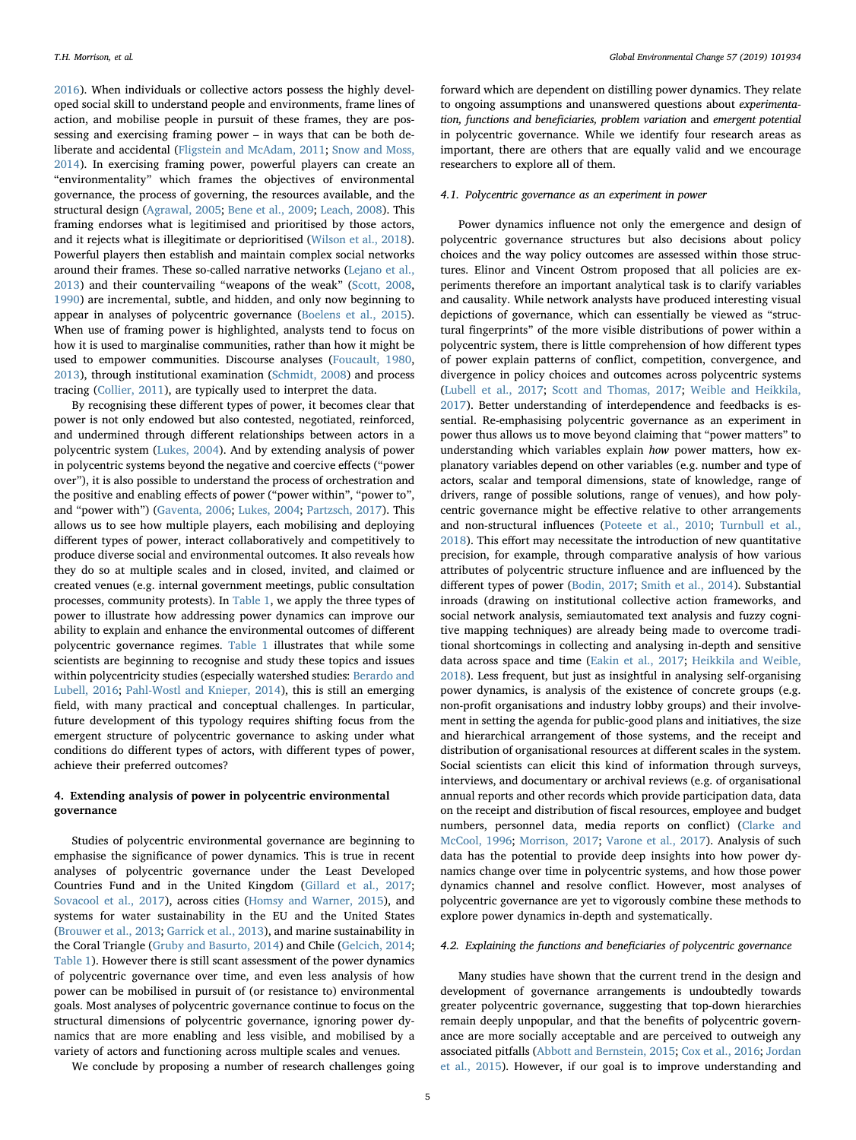[2016\)](#page-7-18). When individuals or collective actors possess the highly developed social skill to understand people and environments, frame lines of action, and mobilise people in pursuit of these frames, they are possessing and exercising framing power – in ways that can be both deliberate and accidental [\(Fligstein and McAdam, 2011;](#page-6-47) [Snow and Moss,](#page-7-21) [2014\)](#page-7-21). In exercising framing power, powerful players can create an "environmentality" which frames the objectives of environmental governance, the process of governing, the resources available, and the structural design [\(Agrawal, 2005](#page-6-48); [Bene et al., 2009](#page-6-49); [Leach, 2008](#page-6-50)). This framing endorses what is legitimised and prioritised by those actors, and it rejects what is illegitimate or deprioritised ([Wilson et al., 2018](#page-7-22)). Powerful players then establish and maintain complex social networks around their frames. These so-called narrative networks [\(Lejano et al.,](#page-6-51) [2013\)](#page-6-51) and their countervailing "weapons of the weak" [\(Scott, 2008](#page-7-23), [1990\)](#page-7-24) are incremental, subtle, and hidden, and only now beginning to appear in analyses of polycentric governance ([Boelens et al., 2015](#page-6-52)). When use of framing power is highlighted, analysts tend to focus on how it is used to marginalise communities, rather than how it might be used to empower communities. Discourse analyses ([Foucault, 1980](#page-6-27), [2013\)](#page-6-53), through institutional examination [\(Schmidt, 2008](#page-7-25)) and process tracing ([Collier, 2011](#page-6-54)), are typically used to interpret the data.

By recognising these different types of power, it becomes clear that power is not only endowed but also contested, negotiated, reinforced, and undermined through different relationships between actors in a polycentric system [\(Lukes, 2004](#page-6-55)). And by extending analysis of power in polycentric systems beyond the negative and coercive effects ("power over"), it is also possible to understand the process of orchestration and the positive and enabling effects of power ("power within", "power to", and "power with") ([Gaventa, 2006](#page-6-29); [Lukes, 2004;](#page-6-55) [Partzsch, 2017\)](#page-7-12). This allows us to see how multiple players, each mobilising and deploying different types of power, interact collaboratively and competitively to produce diverse social and environmental outcomes. It also reveals how they do so at multiple scales and in closed, invited, and claimed or created venues (e.g. internal government meetings, public consultation processes, community protests). In [Table 1](#page-3-1), we apply the three types of power to illustrate how addressing power dynamics can improve our ability to explain and enhance the environmental outcomes of different polycentric governance regimes. [Table 1](#page-3-1) illustrates that while some scientists are beginning to recognise and study these topics and issues within polycentricity studies (especially watershed studies: [Berardo and](#page-6-56) [Lubell, 2016;](#page-6-56) [Pahl-Wostl and Knieper, 2014\)](#page-7-26), this is still an emerging field, with many practical and conceptual challenges. In particular, future development of this typology requires shifting focus from the emergent structure of polycentric governance to asking under what conditions do different types of actors, with different types of power, achieve their preferred outcomes?

## 4. Extending analysis of power in polycentric environmental governance

Studies of polycentric environmental governance are beginning to emphasise the significance of power dynamics. This is true in recent analyses of polycentric governance under the Least Developed Countries Fund and in the United Kingdom [\(Gillard et al., 2017](#page-6-22); [Sovacool et al., 2017\)](#page-7-5), across cities [\(Homsy and Warner, 2015\)](#page-6-23), and systems for water sustainability in the EU and the United States ([Brouwer et al., 2013;](#page-6-43) [Garrick et al., 2013\)](#page-6-57), and marine sustainability in the Coral Triangle [\(Gruby and Basurto, 2014](#page-6-58)) and Chile ([Gelcich, 2014](#page-6-59); [Table 1\)](#page-3-1). However there is still scant assessment of the power dynamics of polycentric governance over time, and even less analysis of how power can be mobilised in pursuit of (or resistance to) environmental goals. Most analyses of polycentric governance continue to focus on the structural dimensions of polycentric governance, ignoring power dynamics that are more enabling and less visible, and mobilised by a variety of actors and functioning across multiple scales and venues.

We conclude by proposing a number of research challenges going

forward which are dependent on distilling power dynamics. They relate to ongoing assumptions and unanswered questions about experimentation, functions and beneficiaries, problem variation and emergent potential in polycentric governance. While we identify four research areas as important, there are others that are equally valid and we encourage researchers to explore all of them.

#### 4.1. Polycentric governance as an experiment in power

Power dynamics influence not only the emergence and design of polycentric governance structures but also decisions about policy choices and the way policy outcomes are assessed within those structures. Elinor and Vincent Ostrom proposed that all policies are experiments therefore an important analytical task is to clarify variables and causality. While network analysts have produced interesting visual depictions of governance, which can essentially be viewed as "structural fingerprints" of the more visible distributions of power within a polycentric system, there is little comprehension of how different types of power explain patterns of conflict, competition, convergence, and divergence in policy choices and outcomes across polycentric systems ([Lubell et al., 2017](#page-6-34); [Scott and Thomas, 2017;](#page-7-27) Weible [and Heikkila,](#page-7-28) [2017\)](#page-7-28). Better understanding of interdependence and feedbacks is essential. Re-emphasising polycentric governance as an experiment in power thus allows us to move beyond claiming that "power matters" to understanding which variables explain how power matters, how explanatory variables depend on other variables (e.g. number and type of actors, scalar and temporal dimensions, state of knowledge, range of drivers, range of possible solutions, range of venues), and how polycentric governance might be effective relative to other arrangements and non-structural influences ([Poteete et al., 2010;](#page-7-29) [Turnbull et al.,](#page-7-30) [2018\)](#page-7-30). This effort may necessitate the introduction of new quantitative precision, for example, through comparative analysis of how various attributes of polycentric structure influence and are influenced by the different types of power [\(Bodin, 2017;](#page-6-60) [Smith et al., 2014\)](#page-7-31). Substantial inroads (drawing on institutional collective action frameworks, and social network analysis, semiautomated text analysis and fuzzy cognitive mapping techniques) are already being made to overcome traditional shortcomings in collecting and analysing in-depth and sensitive data across space and time [\(Eakin et al., 2017](#page-6-61); [Heikkila and Weible,](#page-6-62) [2018\)](#page-6-62). Less frequent, but just as insightful in analysing self-organising power dynamics, is analysis of the existence of concrete groups (e.g. non-profit organisations and industry lobby groups) and their involvement in setting the agenda for public-good plans and initiatives, the size and hierarchical arrangement of those systems, and the receipt and distribution of organisational resources at different scales in the system. Social scientists can elicit this kind of information through surveys, interviews, and documentary or archival reviews (e.g. of organisational annual reports and other records which provide participation data, data on the receipt and distribution of fiscal resources, employee and budget numbers, personnel data, media reports on conflict) ([Clarke and](#page-6-63) [McCool, 1996](#page-6-63); [Morrison, 2017;](#page-7-13) [Varone et al., 2017](#page-7-32)). Analysis of such data has the potential to provide deep insights into how power dynamics change over time in polycentric systems, and how those power dynamics channel and resolve conflict. However, most analyses of polycentric governance are yet to vigorously combine these methods to explore power dynamics in-depth and systematically.

## 4.2. Explaining the functions and beneficiaries of polycentric governance

Many studies have shown that the current trend in the design and development of governance arrangements is undoubtedly towards greater polycentric governance, suggesting that top-down hierarchies remain deeply unpopular, and that the benefits of polycentric governance are more socially acceptable and are perceived to outweigh any associated pitfalls ([Abbott and Bernstein, 2015](#page-6-15); [Cox et al., 2016](#page-6-64); [Jordan](#page-6-3) [et al., 2015](#page-6-3)). However, if our goal is to improve understanding and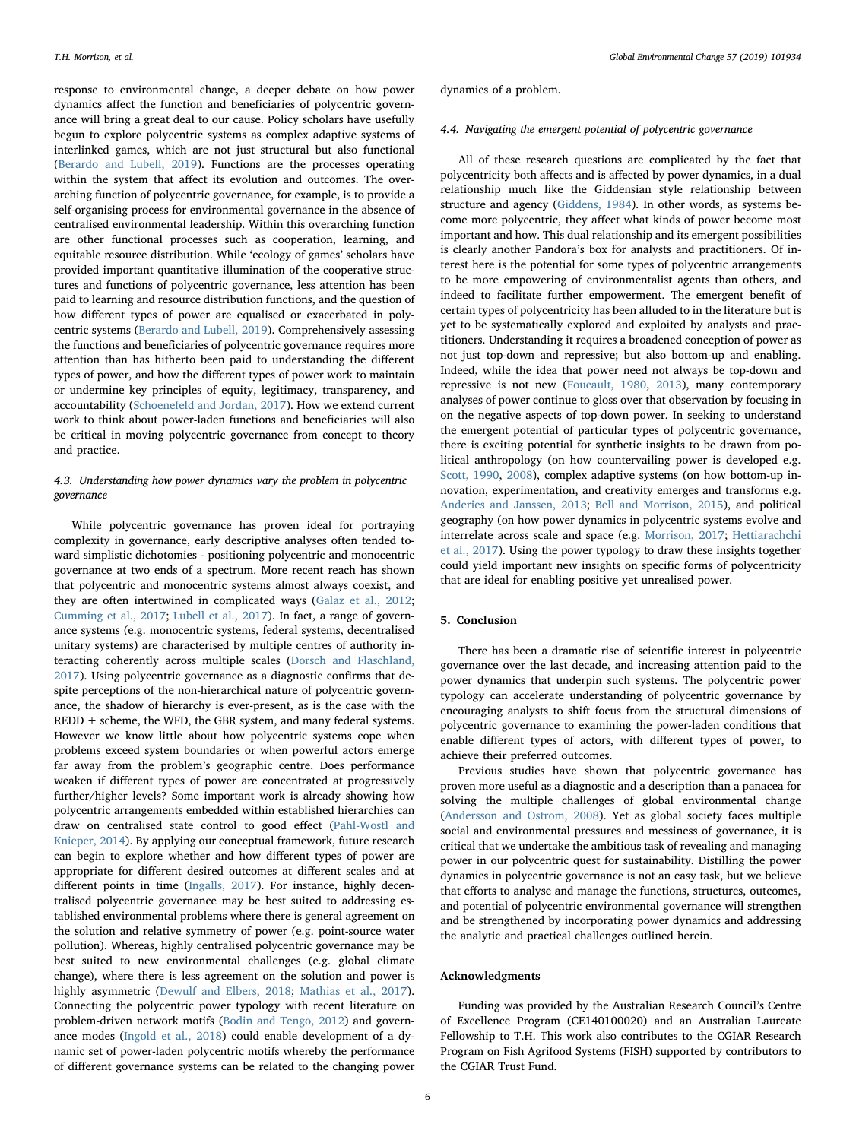response to environmental change, a deeper debate on how power dynamics affect the function and beneficiaries of polycentric governance will bring a great deal to our cause. Policy scholars have usefully begun to explore polycentric systems as complex adaptive systems of interlinked games, which are not just structural but also functional ([Berardo and Lubell, 2019](#page-6-11)). Functions are the processes operating within the system that affect its evolution and outcomes. The overarching function of polycentric governance, for example, is to provide a self-organising process for environmental governance in the absence of centralised environmental leadership. Within this overarching function are other functional processes such as cooperation, learning, and equitable resource distribution. While 'ecology of games' scholars have provided important quantitative illumination of the cooperative structures and functions of polycentric governance, less attention has been paid to learning and resource distribution functions, and the question of how different types of power are equalised or exacerbated in polycentric systems [\(Berardo and Lubell, 2019](#page-6-11)). Comprehensively assessing the functions and beneficiaries of polycentric governance requires more attention than has hitherto been paid to understanding the different types of power, and how the different types of power work to maintain or undermine key principles of equity, legitimacy, transparency, and accountability ([Schoenefeld and Jordan, 2017](#page-7-8)). How we extend current work to think about power-laden functions and beneficiaries will also be critical in moving polycentric governance from concept to theory and practice.

## 4.3. Understanding how power dynamics vary the problem in polycentric governance

While polycentric governance has proven ideal for portraying complexity in governance, early descriptive analyses often tended toward simplistic dichotomies - positioning polycentric and monocentric governance at two ends of a spectrum. More recent reach has shown that polycentric and monocentric systems almost always coexist, and they are often intertwined in complicated ways [\(Galaz et al., 2012](#page-6-65); [Cumming et al., 2017;](#page-6-66) [Lubell et al., 2017](#page-6-34)). In fact, a range of governance systems (e.g. monocentric systems, federal systems, decentralised unitary systems) are characterised by multiple centres of authority interacting coherently across multiple scales ([Dorsch and Flaschland,](#page-6-21) [2017\)](#page-6-21). Using polycentric governance as a diagnostic confirms that despite perceptions of the non-hierarchical nature of polycentric governance, the shadow of hierarchy is ever-present, as is the case with the REDD + scheme, the WFD, the GBR system, and many federal systems. However we know little about how polycentric systems cope when problems exceed system boundaries or when powerful actors emerge far away from the problem's geographic centre. Does performance weaken if different types of power are concentrated at progressively further/higher levels? Some important work is already showing how polycentric arrangements embedded within established hierarchies can draw on centralised state control to good effect [\(Pahl-Wostl and](#page-7-26) [Knieper, 2014](#page-7-26)). By applying our conceptual framework, future research can begin to explore whether and how different types of power are appropriate for different desired outcomes at different scales and at different points in time [\(Ingalls, 2017\)](#page-6-67). For instance, highly decentralised polycentric governance may be best suited to addressing established environmental problems where there is general agreement on the solution and relative symmetry of power (e.g. point-source water pollution). Whereas, highly centralised polycentric governance may be best suited to new environmental challenges (e.g. global climate change), where there is less agreement on the solution and power is highly asymmetric [\(Dewulf and Elbers, 2018;](#page-6-28) [Mathias et al., 2017](#page-6-68)). Connecting the polycentric power typology with recent literature on problem-driven network motifs [\(Bodin and Tengo, 2012\)](#page-6-69) and governance modes [\(Ingold et al., 2018\)](#page-6-70) could enable development of a dynamic set of power-laden polycentric motifs whereby the performance of different governance systems can be related to the changing power dynamics of a problem.

## 4.4. Navigating the emergent potential of polycentric governance

All of these research questions are complicated by the fact that polycentricity both affects and is affected by power dynamics, in a dual relationship much like the Giddensian style relationship between structure and agency ([Giddens, 1984\)](#page-6-71). In other words, as systems become more polycentric, they affect what kinds of power become most important and how. This dual relationship and its emergent possibilities is clearly another Pandora's box for analysts and practitioners. Of interest here is the potential for some types of polycentric arrangements to be more empowering of environmentalist agents than others, and indeed to facilitate further empowerment. The emergent benefit of certain types of polycentricity has been alluded to in the literature but is yet to be systematically explored and exploited by analysts and practitioners. Understanding it requires a broadened conception of power as not just top-down and repressive; but also bottom-up and enabling. Indeed, while the idea that power need not always be top-down and repressive is not new ([Foucault, 1980,](#page-6-27) [2013\)](#page-6-53), many contemporary analyses of power continue to gloss over that observation by focusing in on the negative aspects of top-down power. In seeking to understand the emergent potential of particular types of polycentric governance, there is exciting potential for synthetic insights to be drawn from political anthropology (on how countervailing power is developed e.g. [Scott, 1990](#page-7-24), [2008\)](#page-7-23), complex adaptive systems (on how bottom-up innovation, experimentation, and creativity emerges and transforms e.g. [Anderies and Janssen, 2013;](#page-6-33) [Bell and Morrison, 2015](#page-6-72)), and political geography (on how power dynamics in polycentric systems evolve and interrelate across scale and space (e.g. [Morrison, 2017](#page-7-13); [Hettiarachchi](#page-6-73) [et al., 2017\)](#page-6-73). Using the power typology to draw these insights together could yield important new insights on specific forms of polycentricity that are ideal for enabling positive yet unrealised power.

## 5. Conclusion

There has been a dramatic rise of scientific interest in polycentric governance over the last decade, and increasing attention paid to the power dynamics that underpin such systems. The polycentric power typology can accelerate understanding of polycentric governance by encouraging analysts to shift focus from the structural dimensions of polycentric governance to examining the power-laden conditions that enable different types of actors, with different types of power, to achieve their preferred outcomes.

Previous studies have shown that polycentric governance has proven more useful as a diagnostic and a description than a panacea for solving the multiple challenges of global environmental change (Andersson [and Ostrom, 2008](#page-6-7)). Yet as global society faces multiple social and environmental pressures and messiness of governance, it is critical that we undertake the ambitious task of revealing and managing power in our polycentric quest for sustainability. Distilling the power dynamics in polycentric governance is not an easy task, but we believe that efforts to analyse and manage the functions, structures, outcomes, and potential of polycentric environmental governance will strengthen and be strengthened by incorporating power dynamics and addressing the analytic and practical challenges outlined herein.

## Acknowledgments

Funding was provided by the Australian Research Council's Centre of Excellence Program (CE140100020) and an Australian Laureate Fellowship to T.H. This work also contributes to the CGIAR Research Program on Fish Agrifood Systems (FISH) supported by contributors to the CGIAR Trust Fund.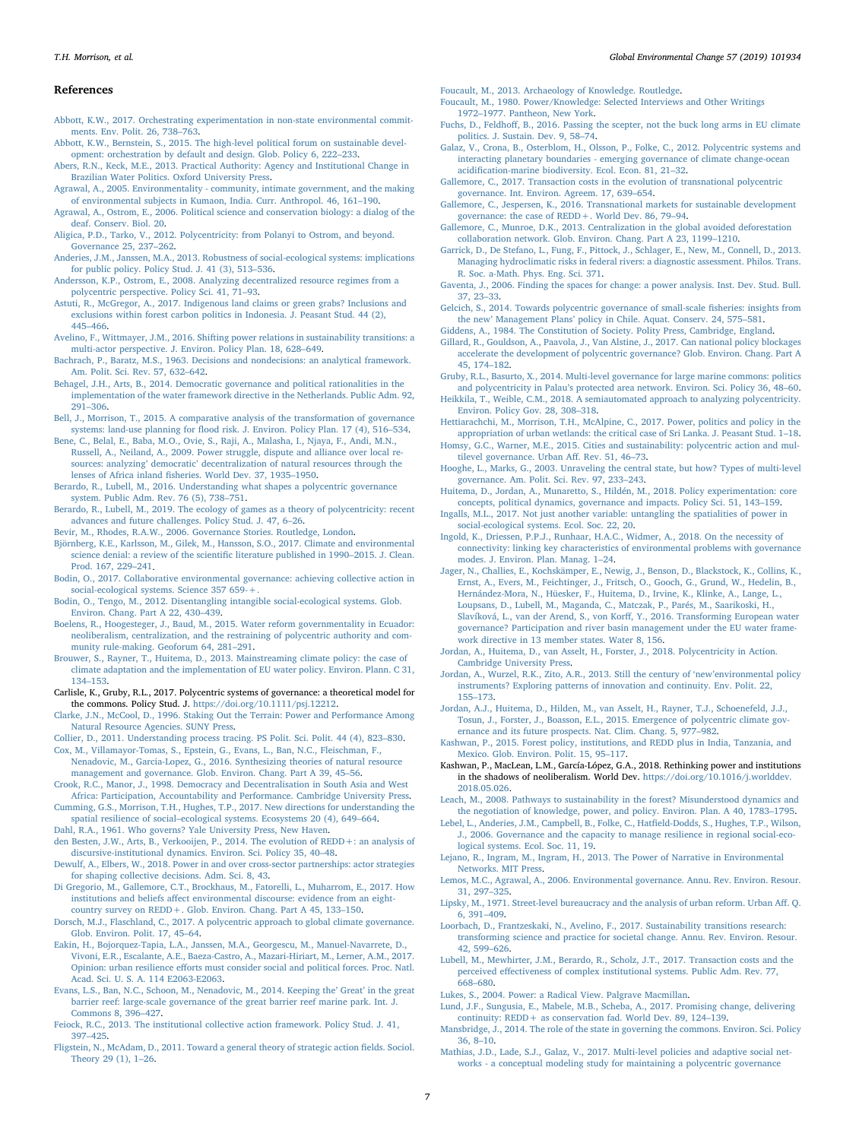#### T.H. Morrison, et al. *Global Environmental Change 57 (2019) 101934*

#### References

- <span id="page-6-12"></span>[Abbott, K.W., 2017. Orchestrating experimentation in non-state environmental commit](http://refhub.elsevier.com/S0959-3780(19)30272-9/sbref0005)[ments. Env. Polit. 26, 738](http://refhub.elsevier.com/S0959-3780(19)30272-9/sbref0005)–763.
- <span id="page-6-15"></span>[Abbott, K.W., Bernstein, S., 2015. The high-level political forum on sustainable devel](http://refhub.elsevier.com/S0959-3780(19)30272-9/sbref0010)[opment: orchestration by default and design. Glob. Policy 6, 222](http://refhub.elsevier.com/S0959-3780(19)30272-9/sbref0010)–233.
- <span id="page-6-32"></span>[Abers, R.N., Keck, M.E., 2013. Practical Authority: Agency and Institutional Change in](http://refhub.elsevier.com/S0959-3780(19)30272-9/sbref0015) [Brazilian Water Politics. Oxford University Press.](http://refhub.elsevier.com/S0959-3780(19)30272-9/sbref0015)
- <span id="page-6-48"></span>[Agrawal, A., 2005. Environmentality - community, intimate government, and the making](http://refhub.elsevier.com/S0959-3780(19)30272-9/sbref0020) [of environmental subjects in Kumaon, India. Curr. Anthropol. 46, 161](http://refhub.elsevier.com/S0959-3780(19)30272-9/sbref0020)–190.
- <span id="page-6-13"></span>[Agrawal, A., Ostrom, E., 2006. Political science and conservation biology: a dialog of the](http://refhub.elsevier.com/S0959-3780(19)30272-9/sbref0025) [deaf. Conserv. Biol. 20](http://refhub.elsevier.com/S0959-3780(19)30272-9/sbref0025).
- <span id="page-6-6"></span>[Aligica, P.D., Tarko, V., 2012. Polycentricity: from Polanyi to Ostrom, and beyond.](http://refhub.elsevier.com/S0959-3780(19)30272-9/sbref0030) [Governance 25, 237](http://refhub.elsevier.com/S0959-3780(19)30272-9/sbref0030)–262.
- <span id="page-6-33"></span>[Anderies, J.M., Janssen, M.A., 2013. Robustness of social](http://refhub.elsevier.com/S0959-3780(19)30272-9/sbref0035)‐ecological systems: implications [for public policy. Policy Stud. J. 41 \(3\), 513](http://refhub.elsevier.com/S0959-3780(19)30272-9/sbref0035)–536.
- <span id="page-6-7"></span>[Andersson, K.P., Ostrom, E., 2008. Analyzing decentralized resource regimes from a](http://refhub.elsevier.com/S0959-3780(19)30272-9/sbref0040) [polycentric perspective. Policy Sci. 41, 71](http://refhub.elsevier.com/S0959-3780(19)30272-9/sbref0040)–93.
- <span id="page-6-42"></span>[Astuti, R., McGregor, A., 2017. Indigenous land claims or green grabs? Inclusions and](http://refhub.elsevier.com/S0959-3780(19)30272-9/sbref0045) [exclusions within forest carbon politics in Indonesia. J. Peasant Stud. 44 \(2\),](http://refhub.elsevier.com/S0959-3780(19)30272-9/sbref0045) 445–[466](http://refhub.elsevier.com/S0959-3780(19)30272-9/sbref0045).
- <span id="page-6-30"></span>[Avelino, F., Wittmayer, J.M., 2016. Shifting power relations in sustainability transitions: a](http://refhub.elsevier.com/S0959-3780(19)30272-9/sbref0050) [multi-actor perspective. J. Environ. Policy Plan. 18, 628](http://refhub.elsevier.com/S0959-3780(19)30272-9/sbref0050)–649.
- <span id="page-6-25"></span>[Bachrach, P., Baratz, M.S., 1963. Decisions and nondecisions: an analytical framework.](http://refhub.elsevier.com/S0959-3780(19)30272-9/sbref0055) [Am. Polit. Sci. Rev. 57, 632](http://refhub.elsevier.com/S0959-3780(19)30272-9/sbref0055)–642.
- <span id="page-6-39"></span>[Behagel, J.H., Arts, B., 2014. Democratic governance and political rationalities in the](http://refhub.elsevier.com/S0959-3780(19)30272-9/sbref0060) [implementation of the water framework directive in the Netherlands. Public Adm. 92,](http://refhub.elsevier.com/S0959-3780(19)30272-9/sbref0060) 291–[306](http://refhub.elsevier.com/S0959-3780(19)30272-9/sbref0060).
- <span id="page-6-72"></span>[Bell, J., Morrison, T., 2015. A comparative analysis of the transformation of governance](http://refhub.elsevier.com/S0959-3780(19)30272-9/sbref0065) systems: land-use planning for fl[ood risk. J. Environ. Policy Plan. 17 \(4\), 516](http://refhub.elsevier.com/S0959-3780(19)30272-9/sbref0065)–534.
- <span id="page-6-49"></span>[Bene, C., Belal, E., Baba, M.O., Ovie, S., Raji, A., Malasha, I., Njaya, F., Andi, M.N.,](http://refhub.elsevier.com/S0959-3780(19)30272-9/sbref0070) [Russell, A., Neiland, A., 2009. Power struggle, dispute and alliance over local re](http://refhub.elsevier.com/S0959-3780(19)30272-9/sbref0070)sources: analyzing' democratic' [decentralization of natural resources through the](http://refhub.elsevier.com/S0959-3780(19)30272-9/sbref0070) lenses of Africa inland fi[sheries. World Dev. 37, 1935](http://refhub.elsevier.com/S0959-3780(19)30272-9/sbref0070)–1950.
- <span id="page-6-56"></span>[Berardo, R., Lubell, M., 2016. Understanding what shapes a polycentric governance](http://refhub.elsevier.com/S0959-3780(19)30272-9/sbref0075) [system. Public Adm. Rev. 76 \(5\), 738](http://refhub.elsevier.com/S0959-3780(19)30272-9/sbref0075)–751.
- <span id="page-6-11"></span>[Berardo, R., Lubell, M., 2019. The ecology of games as a theory of polycentricity: recent](http://refhub.elsevier.com/S0959-3780(19)30272-9/sbref0080) [advances and future challenges. Policy Stud. J. 47, 6](http://refhub.elsevier.com/S0959-3780(19)30272-9/sbref0080)–26.
- <span id="page-6-19"></span>[Bevir, M., Rhodes, R.A.W., 2006. Governance Stories. Routledge, London.](http://refhub.elsevier.com/S0959-3780(19)30272-9/sbref0085)
- <span id="page-6-46"></span>[Björnberg, K.E., Karlsson, M., Gilek, M., Hansson, S.O., 2017. Climate and environmental](http://refhub.elsevier.com/S0959-3780(19)30272-9/sbref0090) [science denial: a review of the scienti](http://refhub.elsevier.com/S0959-3780(19)30272-9/sbref0090)fic literature published in 1990–2015. J. Clean. [Prod. 167, 229](http://refhub.elsevier.com/S0959-3780(19)30272-9/sbref0090)–241.
- <span id="page-6-60"></span>Bodin, [O., 2017. Collaborative environmental governance: achieving collective action in](http://refhub.elsevier.com/S0959-3780(19)30272-9/sbref0095) social-ecological systems. Science 357 659-+
- <span id="page-6-69"></span>[Bodin, O., Tengo, M., 2012. Disentangling intangible social-ecological systems. Glob.](http://refhub.elsevier.com/S0959-3780(19)30272-9/sbref0100) [Environ. Chang. Part A 22, 430](http://refhub.elsevier.com/S0959-3780(19)30272-9/sbref0100)–439.
- <span id="page-6-52"></span>[Boelens, R., Hoogesteger, J., Baud, M., 2015. Water reform governmentality in Ecuador:](http://refhub.elsevier.com/S0959-3780(19)30272-9/sbref0105) [neoliberalism, centralization, and the restraining of polycentric authority and com](http://refhub.elsevier.com/S0959-3780(19)30272-9/sbref0105)[munity rule-making. Geoforum 64, 281](http://refhub.elsevier.com/S0959-3780(19)30272-9/sbref0105)–291.
- <span id="page-6-43"></span>[Brouwer, S., Rayner, T., Huitema, D., 2013. Mainstreaming climate policy: the case of](http://refhub.elsevier.com/S0959-3780(19)30272-9/sbref0110) [climate adaptation and the implementation of EU water policy. Environ. Plann. C 31,](http://refhub.elsevier.com/S0959-3780(19)30272-9/sbref0110) 134–[153](http://refhub.elsevier.com/S0959-3780(19)30272-9/sbref0110).
- <span id="page-6-4"></span>Carlisle, K., Gruby, R.L., 2017. Polycentric systems of governance: a theoretical model for the commons. Policy Stud. J. <https://doi.org/10.1111/psj.12212>.
- <span id="page-6-63"></span>[Clarke, J.N., McCool, D., 1996. Staking Out the Terrain: Power and Performance Among](http://refhub.elsevier.com/S0959-3780(19)30272-9/sbref0120) [Natural Resource Agencies. SUNY Press](http://refhub.elsevier.com/S0959-3780(19)30272-9/sbref0120).
- <span id="page-6-54"></span>[Collier, D., 2011. Understanding process tracing. PS Polit. Sci. Polit. 44 \(4\), 823](http://refhub.elsevier.com/S0959-3780(19)30272-9/sbref0125)–830.
- <span id="page-6-64"></span>[Cox, M., Villamayor-Tomas, S., Epstein, G., Evans, L., Ban, N.C., Fleischman, F.,](http://refhub.elsevier.com/S0959-3780(19)30272-9/sbref0130) [Nenadovic, M., Garcia-Lopez, G., 2016. Synthesizing theories of natural resource](http://refhub.elsevier.com/S0959-3780(19)30272-9/sbref0130)
- <span id="page-6-18"></span>[management and governance. Glob. Environ. Chang. Part A 39, 45](http://refhub.elsevier.com/S0959-3780(19)30272-9/sbref0130)–56. [Crook, R.C., Manor, J., 1998. Democracy and Decentralisation in South Asia and West](http://refhub.elsevier.com/S0959-3780(19)30272-9/sbref0135)
- <span id="page-6-66"></span>[Africa: Participation, Accountability and Performance. Cambridge University Press.](http://refhub.elsevier.com/S0959-3780(19)30272-9/sbref0135) [Cumming, G.S., Morrison, T.H., Hughes, T.P., 2017. New directions for understanding the](http://refhub.elsevier.com/S0959-3780(19)30272-9/sbref0140) spatial resilience of social–[ecological systems. Ecosystems 20 \(4\), 649](http://refhub.elsevier.com/S0959-3780(19)30272-9/sbref0140)–664.
- <span id="page-6-26"></span>[Dahl, R.A., 1961. Who governs? Yale University Press, New Haven](http://refhub.elsevier.com/S0959-3780(19)30272-9/sbref0145).
- <span id="page-6-40"></span>[den Besten, J.W., Arts, B., Verkooijen, P., 2014. The evolution of REDD+: an analysis of](http://refhub.elsevier.com/S0959-3780(19)30272-9/sbref0150) [discursive-institutional dynamics. Environ. Sci. Policy 35, 40](http://refhub.elsevier.com/S0959-3780(19)30272-9/sbref0150)–48.
- <span id="page-6-28"></span>[Dewulf, A., Elbers, W., 2018. Power in and over cross-sector partnerships: actor strategies](http://refhub.elsevier.com/S0959-3780(19)30272-9/sbref0155) [for shaping collective decisions. Adm. Sci. 8, 43](http://refhub.elsevier.com/S0959-3780(19)30272-9/sbref0155).
- <span id="page-6-45"></span>[Di Gregorio, M., Gallemore, C.T., Brockhaus, M., Fatorelli, L., Muharrom, E., 2017. How](http://refhub.elsevier.com/S0959-3780(19)30272-9/sbref0160) institutions and beliefs aff[ect environmental discourse: evidence from an eight](http://refhub.elsevier.com/S0959-3780(19)30272-9/sbref0160)[country survey on REDD+. Glob. Environ. Chang. Part A 45, 133](http://refhub.elsevier.com/S0959-3780(19)30272-9/sbref0160)–150.
- <span id="page-6-21"></span>[Dorsch, M.J., Flaschland, C., 2017. A polycentric approach to global climate governance.](http://refhub.elsevier.com/S0959-3780(19)30272-9/sbref0165) [Glob. Environ. Polit. 17, 45](http://refhub.elsevier.com/S0959-3780(19)30272-9/sbref0165)–64.
- <span id="page-6-61"></span>[Eakin, H., Bojorquez-Tapia, L.A., Janssen, M.A., Georgescu, M., Manuel-Navarrete, D.,](http://refhub.elsevier.com/S0959-3780(19)30272-9/sbref0170) [Vivoni, E.R., Escalante, A.E., Baeza-Castro, A., Mazari-Hiriart, M., Lerner, A.M., 2017.](http://refhub.elsevier.com/S0959-3780(19)30272-9/sbref0170) Opinion: urban resilience eff[orts must consider social and political forces. Proc. Natl.](http://refhub.elsevier.com/S0959-3780(19)30272-9/sbref0170) [Acad. Sci. U. S. A. 114 E2063-E2063.](http://refhub.elsevier.com/S0959-3780(19)30272-9/sbref0170)
- <span id="page-6-38"></span>[Evans, L.S., Ban, N.C., Schoon, M., Nenadovic, M., 2014. Keeping the](http://refhub.elsevier.com/S0959-3780(19)30272-9/sbref0175)' Great' in the great [barrier reef: large-scale governance of the great barrier reef marine park. Int. J.](http://refhub.elsevier.com/S0959-3780(19)30272-9/sbref0175) [Commons 8, 396](http://refhub.elsevier.com/S0959-3780(19)30272-9/sbref0175)–427.
- <span id="page-6-16"></span>[Feiock, R.C., 2013. The institutional collective action framework. Policy Stud. J. 41,](http://refhub.elsevier.com/S0959-3780(19)30272-9/sbref0180) 397–[425](http://refhub.elsevier.com/S0959-3780(19)30272-9/sbref0180).
- <span id="page-6-47"></span>[Fligstein, N., McAdam, D., 2011. Toward a general theory of strategic action](http://refhub.elsevier.com/S0959-3780(19)30272-9/sbref0185) fields. Sociol. [Theory 29 \(1\), 1](http://refhub.elsevier.com/S0959-3780(19)30272-9/sbref0185)–26.
- <span id="page-6-53"></span>[Foucault, M., 2013. Archaeology of Knowledge. Routledge](http://refhub.elsevier.com/S0959-3780(19)30272-9/sbref0190).
- <span id="page-6-27"></span>[Foucault, M., 1980. Power/Knowledge: Selected Interviews and Other Writings](http://refhub.elsevier.com/S0959-3780(19)30272-9/sbref0195) 1972–1977. [Pantheon, New York](http://refhub.elsevier.com/S0959-3780(19)30272-9/sbref0195).
- <span id="page-6-35"></span>Fuchs, D., Feldhoff[, B., 2016. Passing the scepter, not the buck long arms in EU climate](http://refhub.elsevier.com/S0959-3780(19)30272-9/sbref0200) [politics. J. Sustain. Dev. 9, 58](http://refhub.elsevier.com/S0959-3780(19)30272-9/sbref0200)–74.
- <span id="page-6-65"></span>[Galaz, V., Crona, B., Osterblom, H., Olsson, P., Folke, C., 2012. Polycentric systems and](http://refhub.elsevier.com/S0959-3780(19)30272-9/sbref0205) [interacting planetary boundaries - emerging governance of climate change-ocean](http://refhub.elsevier.com/S0959-3780(19)30272-9/sbref0205) acidifi[cation-marine biodiversity. Ecol. Econ. 81, 21](http://refhub.elsevier.com/S0959-3780(19)30272-9/sbref0205)–32.
- <span id="page-6-8"></span>[Gallemore, C., 2017. Transaction costs in the evolution of transnational polycentric](http://refhub.elsevier.com/S0959-3780(19)30272-9/sbref0210) [governance. Int. Environ. Agreem. 17, 639](http://refhub.elsevier.com/S0959-3780(19)30272-9/sbref0210)–654.
- <span id="page-6-44"></span>[Gallemore, C., Jespersen, K., 2016. Transnational markets for sustainable development](http://refhub.elsevier.com/S0959-3780(19)30272-9/sbref0215) [governance: the case of REDD+. World Dev. 86, 79](http://refhub.elsevier.com/S0959-3780(19)30272-9/sbref0215)–94.
- <span id="page-6-24"></span>[Gallemore, C., Munroe, D.K., 2013. Centralization in the global avoided deforestation](http://refhub.elsevier.com/S0959-3780(19)30272-9/sbref0220) [collaboration network. Glob. Environ. Chang. Part A 23, 1199](http://refhub.elsevier.com/S0959-3780(19)30272-9/sbref0220)–1210.
- <span id="page-6-57"></span>[Garrick, D., De Stefano, L., Fung, F., Pittock, J., Schlager, E., New, M., Connell, D., 2013.](http://refhub.elsevier.com/S0959-3780(19)30272-9/sbref0225) [Managing hydroclimatic risks in federal rivers: a diagnostic assessment. Philos. Trans.](http://refhub.elsevier.com/S0959-3780(19)30272-9/sbref0225) [R. Soc. a-Math. Phys. Eng. Sci. 371.](http://refhub.elsevier.com/S0959-3780(19)30272-9/sbref0225)
- <span id="page-6-29"></span>[Gaventa, J., 2006. Finding the spaces for change: a power analysis. Inst. Dev. Stud. Bull.](http://refhub.elsevier.com/S0959-3780(19)30272-9/sbref0230) [37, 23](http://refhub.elsevier.com/S0959-3780(19)30272-9/sbref0230)–33.
- <span id="page-6-59"></span>[Gelcich, S., 2014. Towards polycentric governance of small-scale](http://refhub.elsevier.com/S0959-3780(19)30272-9/sbref0235) fisheries: insights from the new' Management Plans' [policy in Chile. Aquat. Conserv. 24, 575](http://refhub.elsevier.com/S0959-3780(19)30272-9/sbref0235)–581.

<span id="page-6-71"></span>[Giddens, A., 1984. The Constitution of Society. Polity Press, Cambridge, England.](http://refhub.elsevier.com/S0959-3780(19)30272-9/sbref0240)

- <span id="page-6-22"></span>[Gillard, R., Gouldson, A., Paavola, J., Van Alstine, J., 2017. Can national policy blockages](http://refhub.elsevier.com/S0959-3780(19)30272-9/sbref0245) [accelerate the development of polycentric governance? Glob. Environ. Chang. Part A](http://refhub.elsevier.com/S0959-3780(19)30272-9/sbref0245) [45, 174](http://refhub.elsevier.com/S0959-3780(19)30272-9/sbref0245)–182.
- <span id="page-6-58"></span>[Gruby, R.L., Basurto, X., 2014. Multi-level governance for large marine commons: politics](http://refhub.elsevier.com/S0959-3780(19)30272-9/sbref0250) and polycentricity in Palau'[s protected area network. Environ. Sci. Policy 36, 48](http://refhub.elsevier.com/S0959-3780(19)30272-9/sbref0250)–60.
- <span id="page-6-62"></span>[Heikkila, T., Weible, C.M., 2018. A semiautomated approach to analyzing polycentricity.](http://refhub.elsevier.com/S0959-3780(19)30272-9/sbref0255) [Environ. Policy Gov. 28, 308](http://refhub.elsevier.com/S0959-3780(19)30272-9/sbref0255)–318.

<span id="page-6-73"></span>[Hettiarachchi, M., Morrison, T.H., McAlpine, C., 2017. Power, politics and policy in the](http://refhub.elsevier.com/S0959-3780(19)30272-9/sbref0260) [appropriation of urban wetlands: the critical case of Sri Lanka. J. Peasant Stud. 1](http://refhub.elsevier.com/S0959-3780(19)30272-9/sbref0260)–18. [Homsy, G.C., Warner, M.E., 2015. Cities and sustainability: polycentric action and mul-](http://refhub.elsevier.com/S0959-3780(19)30272-9/sbref0265)

- <span id="page-6-23"></span><span id="page-6-17"></span>[tilevel governance. Urban A](http://refhub.elsevier.com/S0959-3780(19)30272-9/sbref0265)ff. Rev. 51, 46–73. [Hooghe, L., Marks, G., 2003. Unraveling the central state, but how? Types of multi-level](http://refhub.elsevier.com/S0959-3780(19)30272-9/sbref0270) [governance. Am. Polit. Sci. Rev. 97, 233](http://refhub.elsevier.com/S0959-3780(19)30272-9/sbref0270)–243.
- <span id="page-6-10"></span>[Huitema, D., Jordan, A., Munaretto, S., Hildén, M., 2018. Policy experimentation: core](http://refhub.elsevier.com/S0959-3780(19)30272-9/sbref0275) [concepts, political dynamics, governance and impacts. Policy Sci. 51, 143](http://refhub.elsevier.com/S0959-3780(19)30272-9/sbref0275)–159.
- <span id="page-6-67"></span>[Ingalls, M.L., 2017. Not just another variable: untangling the spatialities of power in](http://refhub.elsevier.com/S0959-3780(19)30272-9/sbref0280) [social-ecological systems. Ecol. Soc. 22, 20.](http://refhub.elsevier.com/S0959-3780(19)30272-9/sbref0280)
- <span id="page-6-70"></span>[Ingold, K., Driessen, P.P.J., Runhaar, H.A.C., Widmer, A., 2018. On the necessity of](http://refhub.elsevier.com/S0959-3780(19)30272-9/sbref0285) [connectivity: linking key characteristics of environmental problems with governance](http://refhub.elsevier.com/S0959-3780(19)30272-9/sbref0285) [modes. J. Environ. Plan. Manag. 1](http://refhub.elsevier.com/S0959-3780(19)30272-9/sbref0285)–24.
- <span id="page-6-36"></span>Jager, [N., Challies, E., Kochskämper, E., Newig, J., Benson, D., Blackstock, K., Collins, K.,](http://refhub.elsevier.com/S0959-3780(19)30272-9/sbref0290) [Ernst, A., Evers, M., Feichtinger, J., Fritsch, O., Gooch, G., Grund, W., Hedelin, B.,](http://refhub.elsevier.com/S0959-3780(19)30272-9/sbref0290) [Hernández-Mora, N., Hüesker, F., Huitema, D., Irvine, K., Klinke, A., Lange, L.,](http://refhub.elsevier.com/S0959-3780(19)30272-9/sbref0290) [Loupsans, D., Lubell, M., Maganda, C., Matczak, P., Parés, M., Saarikoski, H.,](http://refhub.elsevier.com/S0959-3780(19)30272-9/sbref0290) Slavíková, L., van der Arend, S., von Korff[, Y., 2016. Transforming European water](http://refhub.elsevier.com/S0959-3780(19)30272-9/sbref0290) [governance? Participation and river basin management under the EU water frame](http://refhub.elsevier.com/S0959-3780(19)30272-9/sbref0290)[work directive in 13 member states. Water 8, 156](http://refhub.elsevier.com/S0959-3780(19)30272-9/sbref0290).
- <span id="page-6-9"></span>[Jordan, A., Huitema, D., van Asselt, H., Forster, J., 2018. Polycentricity in Action.](http://refhub.elsevier.com/S0959-3780(19)30272-9/sbref0295) [Cambridge University Press.](http://refhub.elsevier.com/S0959-3780(19)30272-9/sbref0295)
- <span id="page-6-2"></span>[Jordan, A., Wurzel, R.K., Zito, A.R., 2013. Still the century of](http://refhub.elsevier.com/S0959-3780(19)30272-9/sbref0300) 'new'environmental policy [instruments? Exploring patterns of innovation and continuity. Env. Polit. 22,](http://refhub.elsevier.com/S0959-3780(19)30272-9/sbref0300) 155–[173](http://refhub.elsevier.com/S0959-3780(19)30272-9/sbref0300).
- <span id="page-6-3"></span>[Jordan, A.J., Huitema, D., Hilden, M., van Asselt, H., Rayner, T.J., Schoenefeld, J.J.,](http://refhub.elsevier.com/S0959-3780(19)30272-9/sbref0305) [Tosun, J., Forster, J., Boasson, E.L., 2015. Emergence of polycentric climate gov](http://refhub.elsevier.com/S0959-3780(19)30272-9/sbref0305)[ernance and its future prospects. Nat. Clim. Chang. 5, 977](http://refhub.elsevier.com/S0959-3780(19)30272-9/sbref0305)–982.
- <span id="page-6-37"></span>[Kashwan, P., 2015. Forest policy, institutions, and REDD plus in India, Tanzania, and](http://refhub.elsevier.com/S0959-3780(19)30272-9/sbref0310) [Mexico. Glob. Environ. Polit. 15, 95](http://refhub.elsevier.com/S0959-3780(19)30272-9/sbref0310)–117.
- <span id="page-6-20"></span>Kashwan, P., MacLean, L.M., García-López, G.A., 2018. Rethinking power and institutions in the shadows of neoliberalism. World Dev. [https://doi.org/10.1016/j.worlddev.](https://doi.org/10.1016/j.worlddev.2018.05.026) [2018.05.026](https://doi.org/10.1016/j.worlddev.2018.05.026).
- <span id="page-6-50"></span>[Leach, M., 2008. Pathways to sustainability in the forest? Misunderstood dynamics and](http://refhub.elsevier.com/S0959-3780(19)30272-9/sbref0320) [the negotiation of knowledge, power, and policy. Environ. Plan. A 40, 1783](http://refhub.elsevier.com/S0959-3780(19)30272-9/sbref0320)–1795.
- <span id="page-6-5"></span>[Lebel, L., Anderies, J.M., Campbell, B., Folke, C., Hat](http://refhub.elsevier.com/S0959-3780(19)30272-9/sbref0325)field-Dodds, S., Hughes, T.P., Wilson, [J., 2006. Governance and the capacity to manage resilience in regional social-eco](http://refhub.elsevier.com/S0959-3780(19)30272-9/sbref0325)[logical systems. Ecol. Soc. 11, 19.](http://refhub.elsevier.com/S0959-3780(19)30272-9/sbref0325)
- <span id="page-6-51"></span>[Lejano, R., Ingram, M., Ingram, H., 2013. The Power of Narrative in Environmental](http://refhub.elsevier.com/S0959-3780(19)30272-9/sbref0330) [Networks. MIT Press](http://refhub.elsevier.com/S0959-3780(19)30272-9/sbref0330).
- <span id="page-6-1"></span>[Lemos, M.C., Agrawal, A., 2006. Environmental governance. Annu. Rev. Environ. Resour.](http://refhub.elsevier.com/S0959-3780(19)30272-9/sbref0335) [31, 297](http://refhub.elsevier.com/S0959-3780(19)30272-9/sbref0335)–325.
- <span id="page-6-31"></span>[Lipsky, M., 1971. Street-level bureaucracy and the analysis of urban reform. Urban A](http://refhub.elsevier.com/S0959-3780(19)30272-9/sbref0340)ff. Q. [6, 391](http://refhub.elsevier.com/S0959-3780(19)30272-9/sbref0340)–409.
- <span id="page-6-0"></span>[Loorbach, D., Frantzeskaki, N., Avelino, F., 2017. Sustainability transitions research:](http://refhub.elsevier.com/S0959-3780(19)30272-9/sbref0345) [transforming science and practice for societal change. Annu. Rev. Environ. Resour.](http://refhub.elsevier.com/S0959-3780(19)30272-9/sbref0345) [42, 599](http://refhub.elsevier.com/S0959-3780(19)30272-9/sbref0345)–626.
- <span id="page-6-34"></span>[Lubell, M., Mewhirter, J.M., Berardo, R., Scholz, J.T., 2017. Transaction costs and the](http://refhub.elsevier.com/S0959-3780(19)30272-9/sbref0350) perceived eff[ectiveness of complex institutional systems. Public Adm. Rev. 77,](http://refhub.elsevier.com/S0959-3780(19)30272-9/sbref0350) 668–[680](http://refhub.elsevier.com/S0959-3780(19)30272-9/sbref0350).
- <span id="page-6-55"></span>[Lukes, S., 2004. Power: a Radical View. Palgrave Macmillan.](http://refhub.elsevier.com/S0959-3780(19)30272-9/sbref0355)
- <span id="page-6-41"></span>[Lund, J.F., Sungusia, E., Mabele, M.B., Scheba, A., 2017. Promising change, delivering](http://refhub.elsevier.com/S0959-3780(19)30272-9/sbref0360) [continuity: REDD+ as conservation fad. World Dev. 89, 124](http://refhub.elsevier.com/S0959-3780(19)30272-9/sbref0360)–139.
- <span id="page-6-14"></span>[Mansbridge, J., 2014. The role of the state in governing the commons. Environ. Sci. Policy](http://refhub.elsevier.com/S0959-3780(19)30272-9/sbref0365) [36, 8](http://refhub.elsevier.com/S0959-3780(19)30272-9/sbref0365)–10.
- <span id="page-6-68"></span>[Mathias, J.D., Lade, S.J., Galaz, V., 2017. Multi-level policies and adaptive social net](http://refhub.elsevier.com/S0959-3780(19)30272-9/sbref0370)[works - a conceptual modeling study for maintaining a polycentric governance](http://refhub.elsevier.com/S0959-3780(19)30272-9/sbref0370)